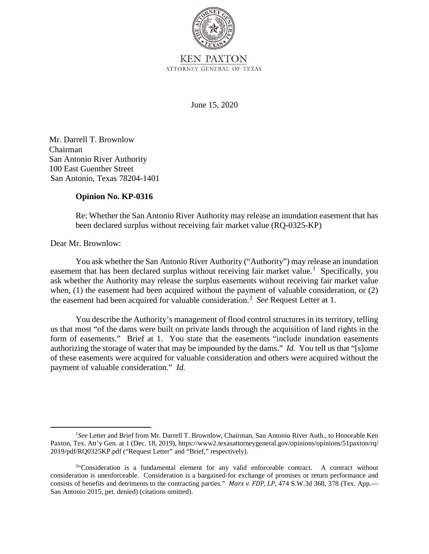

**KEN PAXTON**  ATTORNEY GENERAL OF TEXAS

June 15, 2020

Mr. Darrell T. Brownlow Chairman San Antonio River Authority 100 East Guenther Street San Antonio, Texas 78204-1401

## **Opinion No. KP-0316**

 Re: Whether the San Antonio River Authority may release an inundation easement that has been declared surplus without receiving fair market value (RQ-0325-KP)

## Dear Mr. Brownlow:

easement that has been declared surplus without receiving fair market value.<sup>1</sup> Specifically, you ask whether the Authority may release the surplus easements without receiving fair market value when, (1) the easement had been acquired without the payment of valuable consideration, or (2) the easement had been acquired for valuable consideration.<sup>2</sup> See Request Letter at 1. You ask whether the San Antonio River Authority ("Authority") may release an inundation

 authorizing the storage of water that may be impounded by the dams." *Id.* You tell us that "[s]ome payment of valuable consideration." *Id.*  You describe the Authority's management of flood control structures in its territory, telling us that most "of the dams were built on private lands through the acquisition of land rights in the form of easements." Brief at 1. You state that the easements "include inundation easements of these easements were acquired for valuable consideration and others were acquired without the

<sup>&</sup>lt;sup>1</sup>See Letter and Brief from Mr. Darrell T. Brownlow, Chairman, San Antonio River Auth., to Honorable Ken Paxton, Tex. Att'y Gen. at 1 (Dec. 18, 2019), https://www2.texasattorneygeneral.gov/opinions/opinions/51paxton/rq/ 2019/pdf/RQ0325KP.pdf ("Request Letter" and "Brief," respectively).

<sup>&</sup>lt;sup>2</sup>"Consideration is a fundamental element for any valid enforceable contract. A contract without consideration is unenforceable. Consideration is a bargained-for exchange of promises or return performance and  consists of benefits and detriments to the contracting parties." *Marx v. FDP, LP*, 474 S.W.3d 368, 378 (Tex. App.— San Antonio 2015, pet. denied) (citations omitted).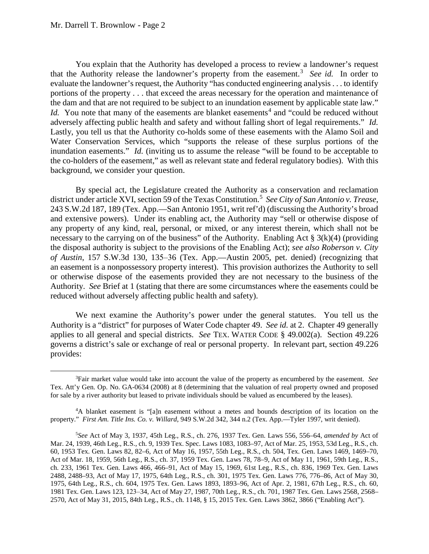You explain that the Authority has developed a process to review a landowner's request that the Authority release the landowner's property from the easement.<sup>3</sup> See id. In order to the dam and that are not required to be subject to an inundation easement by applicable state law." *Id.* You note that many of the easements are blanket easements<sup>4</sup> and "could be reduced without adversely affecting public health and safety and without falling short of legal requirements." *Id.*  inundation easements." *Id.* (inviting us to assume the release "will be found to be acceptable to the co-holders of the easement," as well as relevant state and federal regulatory bodies). With this evaluate the landowner's request, the Authority "has conducted engineering analysis . . . to identify portions of the property . . . that exceed the areas necessary for the operation and maintenance of Lastly, you tell us that the Authority co-holds some of these easements with the Alamo Soil and Water Conservation Services, which "supports the release of these surplus portions of the background, we consider your question.

 By special act, the Legislature created the Authority as a conservation and reclamation district under article XVI, section 59 of the Texas Constitution.<sup>5</sup> See City of San Antonio v. Trease,  the disposal authority is subject to the provisions of the Enabling Act); *see also Roberson v. City*  an easement is a nonpossessory property interest). This provision authorizes the Authority to sell 243 S.W.2d 187, 189 (Tex. App.—San Antonio 1951, writ ref'd) (discussing the Authority's broad and extensive powers). Under its enabling act, the Authority may "sell or otherwise dispose of any property of any kind, real, personal, or mixed, or any interest therein, which shall not be necessary to the carrying on of the business" of the Authority. Enabling Act  $\S 3(k)(4)$  (providing *of Austin*, 157 S.W.3d 130, 135‒36 (Tex. App.—Austin 2005, pet. denied) (recognizing that or otherwise dispose of the easements provided they are not necessary to the business of the Authority. *See* Brief at 1 (stating that there are some circumstances where the easements could be reduced without adversely affecting public health and safety).

 Authority is a "district" for purposes of Water Code chapter 49. *See id.* at 2. Chapter 49 generally applies to all general and special districts. *See* TEX. WATER CODE § 49.002(a). Section 49.226 We next examine the Authority's power under the general statutes. You tell us the governs a district's sale or exchange of real or personal property. In relevant part, section 49.226 provides:

 3 Fair market value would take into account the value of the property as encumbered by the easement. *See*  Tex. Att'y Gen. Op. No. GA-0634 (2008) at 8 (determining that the valuation of real property owned and proposed for sale by a river authority but leased to private individuals should be valued as encumbered by the leases).

 property." *First Am. Title Ins. Co. v. Willard*, 949 S.W.2d 342, 344 n.2 (Tex. App.—Tyler 1997, writ denied). <sup>4</sup>A blanket easement is "[a]n easement without a metes and bounds description of its location on the

 Mar. 24, 1939, 46th Leg., R.S., ch. 9, 1939 Tex. Spec. Laws 1083, 1083–97, Act of Mar. 25, 1953, 53d Leg., R.S., ch. 60, 1953 Tex. Gen. Laws 82, 82–6, Act of May 16, 1957, 55th Leg., R.S., ch. 504, Tex. Gen. Laws 1469, 1469–70, 1975, 64th Leg., R.S., ch. 604, 1975 Tex. Gen. Laws 1893, 1893–96, Act of Apr. 2, 1981, 67th Leg., R.S., ch. 60, 1981 Tex. Gen. Laws 123, 123–34, Act of May 27, 1987, 70th Leg., R.S., ch. 701, 1987 Tex. Gen. Laws 2568, 2568– 5 *See* Act of May 3, 1937, 45th Leg., R.S., ch. 276, 1937 Tex. Gen. Laws 556, 556–64, *amended by* Act of Act of Mar. 18, 1959, 56th Leg., R.S., ch. 37, 1959 Tex. Gen. Laws 78, 78–9, Act of May 11, 1961, 59th Leg., R.S., ch. 233, 1961 Tex. Gen. Laws 466, 466–91, Act of May 15, 1969, 61st Leg., R.S., ch. 836, 1969 Tex. Gen. Laws 2488, 2488–93, Act of May 17, 1975, 64th Leg., R.S., ch. 301, 1975 Tex. Gen. Laws 776, 776–86, Act of May 30, 2570, Act of May 31, 2015, 84th Leg., R.S., ch. 1148, § 15, 2015 Tex. Gen. Laws 3862, 3866 ("Enabling Act").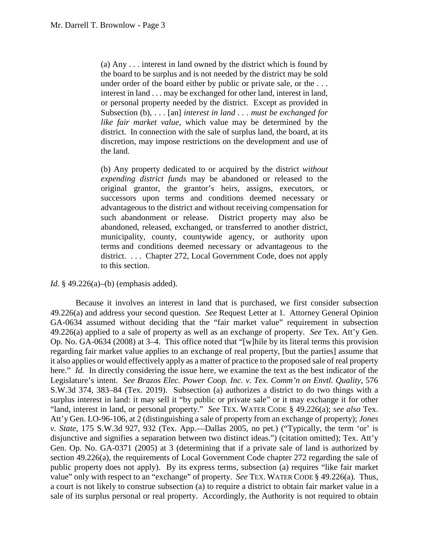district. In connection with the sale of surplus land, the board, at its (a) Any . . . interest in land owned by the district which is found by the board to be surplus and is not needed by the district may be sold under order of the board either by public or private sale, or the ... interest in land . . . may be exchanged for other land, interest in land, or personal property needed by the district. Except as provided in Subsection (b), . . . [an] *interest in land . . . must be exchanged for like fair market value*, which value may be determined by the discretion, may impose restrictions on the development and use of the land.

 (b) Any property dedicated to or acquired by the district *without expending district funds* may be abandoned or released to the original grantor, the grantor's heirs, assigns, executors, or successors upon terms and conditions deemed necessary or advantageous to the district and without receiving compensation for such abandonment or release. District property may also be abandoned, released, exchanged, or transferred to another district, municipality, county, countywide agency, or authority upon terms and conditions deemed necessary or advantageous to the district. ... Chapter 272, Local Government Code, does not apply to this section.

*Id.* § 49.226(a)–(b) (emphasis added).

 49.226(a) applied to a sale of property as well as an exchange of property. *See* Tex. Att'y Gen. here." *Id.* In directly considering the issue here, we examine the text as the best indicator of the Legislature's intent. *See Brazos Elec. Power Coop. Inc. v. Tex. Comm'n on Envtl. Quality*, 576 surplus interest in land: it may sell it "by public or private sale" or it may exchange it for other "land, interest in land, or personal property." *See* TEX. WATER CODE § 49.226(a); *see also* Tex. public property does not apply). By its express terms, subsection (a) requires "like fair market value" only with respect to an "exchange" of property. *See* TEX. WATER CODE § 49.226(a)*.* Thus, Because it involves an interest in land that is purchased, we first consider subsection 49.226(a) and address your second question. *See* Request Letter at 1. Attorney General Opinion GA-0634 assumed without deciding that the "fair market value" requirement in subsection Op. No. GA-0634 (2008) at 3–4. This office noted that "[w]hile by its literal terms this provision regarding fair market value applies to an exchange of real property, [but the parties] assume that it also applies or would effectively apply as a matter of practice to the proposed sale of real property S.W.3d 374, 383–84 (Tex. 2019). Subsection (a) authorizes a district to do two things with a Att'y Gen. LO-96-106, at 2 (distinguishing a sale of property from an exchange of property); *Jones v. State*, 175 S.W.3d 927, 932 (Tex. App.—Dallas 2005, no pet.) ("Typically, the term 'or' is disjunctive and signifies a separation between two distinct ideas.") (citation omitted); Tex. Att'y Gen. Op. No. GA-0371 (2005) at 3 (determining that if a private sale of land is authorized by section 49.226(a), the requirements of Local Government Code chapter 272 regarding the sale of a court is not likely to construe subsection (a) to require a district to obtain fair market value in a sale of its surplus personal or real property. Accordingly, the Authority is not required to obtain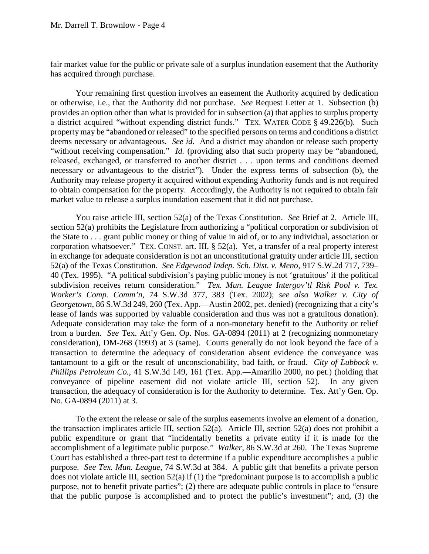fair market value for the public or private sale of a surplus inundation easement that the Authority has acquired through purchase.

 or otherwise, i.e., that the Authority did not purchase. *See* Request Letter at 1. Subsection (b) provides an option other than what is provided for in subsection (a) that applies to surplus property a district acquired "without expending district funds." TEX. WATER CODE § 49.226(b). Such property may be "abandoned or released" to the specified persons on terms and conditions a district "without receiving compensation." *Id.* (providing also that such property may be "abandoned, Your remaining first question involves an easement the Authority acquired by dedication deems necessary or advantageous. *See id.* And a district may abandon or release such property released, exchanged, or transferred to another district . . . upon terms and conditions deemed necessary or advantageous to the district"). Under the express terms of subsection (b), the Authority may release property it acquired without expending Authority funds and is not required to obtain compensation for the property. Accordingly, the Authority is not required to obtain fair market value to release a surplus inundation easement that it did not purchase.

 You raise article III, section 52(a) of the Texas Constitution. *See* Brief at 2. Article III, corporation whatsoever." TEX. CONST. art. III, § 52(a). Yet, a transfer of a real property interest in exchange for adequate consideration is not an unconstitutional gratuity under article III, section lease of lands was supported by valuable consideration and thus was not a gratuitous donation). consideration), DM-268 (1993) at 3 (same). Courts generally do not look beyond the face of a section 52(a) prohibits the Legislature from authorizing a "political corporation or subdivision of the State to . . . grant public money or thing of value in aid of, or to any individual, association or 52(a) of the Texas Constitution. *See Edgewood Indep. Sch. Dist. v. Meno*, 917 S.W.2d 717, 739– 40 (Tex. 1995). "A political subdivision's paying public money is not 'gratuitous' if the political subdivision receives return consideration." *Tex. Mun. League Intergov'tl Risk Pool v. Tex. Worker's Comp. Comm'n*, 74 S.W.3d 377, 383 (Tex. 2002); *see also Walker v. City of Georgetown*, 86 S.W.3d 249, 260 (Tex. App.—Austin 2002, pet. denied) (recognizing that a city's Adequate consideration may take the form of a non-monetary benefit to the Authority or relief from a burden. *See* Tex. Att'y Gen. Op. Nos. GA-0894 (2011) at 2 (recognizing nonmonetary transaction to determine the adequacy of consideration absent evidence the conveyance was tantamount to a gift or the result of unconscionability, bad faith, or fraud. *City of Lubbock v. Phillips Petroleum Co.*, 41 S.W.3d 149, 161 (Tex. App.—Amarillo 2000, no pet.) (holding that conveyance of pipeline easement did not violate article III, section 52). In any given transaction, the adequacy of consideration is for the Authority to determine. Tex. Att'y Gen. Op. No. GA-0894 (2011) at 3.

 public expenditure or grant that "incidentally benefits a private entity if it is made for the accomplishment of a legitimate public purpose." *Walker*, 86 S.W.3d at 260. The Texas Supreme Court has established a three-part test to determine if a public expenditure accomplishes a public does not violate article III, section 52(a) if (1) the "predominant purpose is to accomplish a public To the extent the release or sale of the surplus easements involve an element of a donation, the transaction implicates article III, section 52(a). Article III, section 52(a) does not prohibit a purpose. *See Tex. Mun. League*, 74 S.W.3d at 384. A public gift that benefits a private person purpose, not to benefit private parties"; (2) there are adequate public controls in place to "ensure that the public purpose is accomplished and to protect the public's investment"; and, (3) the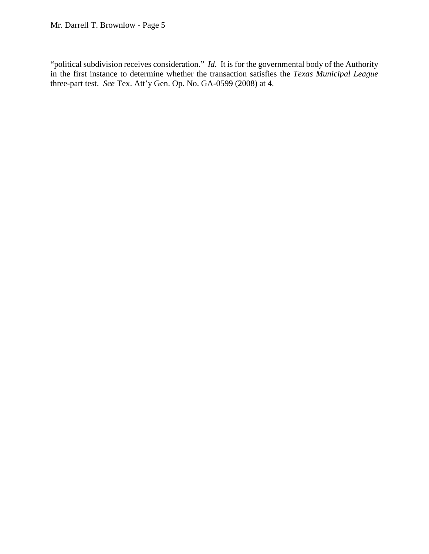"political subdivision receives consideration." *Id*. It is for the governmental body of the Authority three-part test. *See* Tex. Att'y Gen. Op. No. GA-0599 (2008) at 4. in the first instance to determine whether the transaction satisfies the *Texas Municipal League*